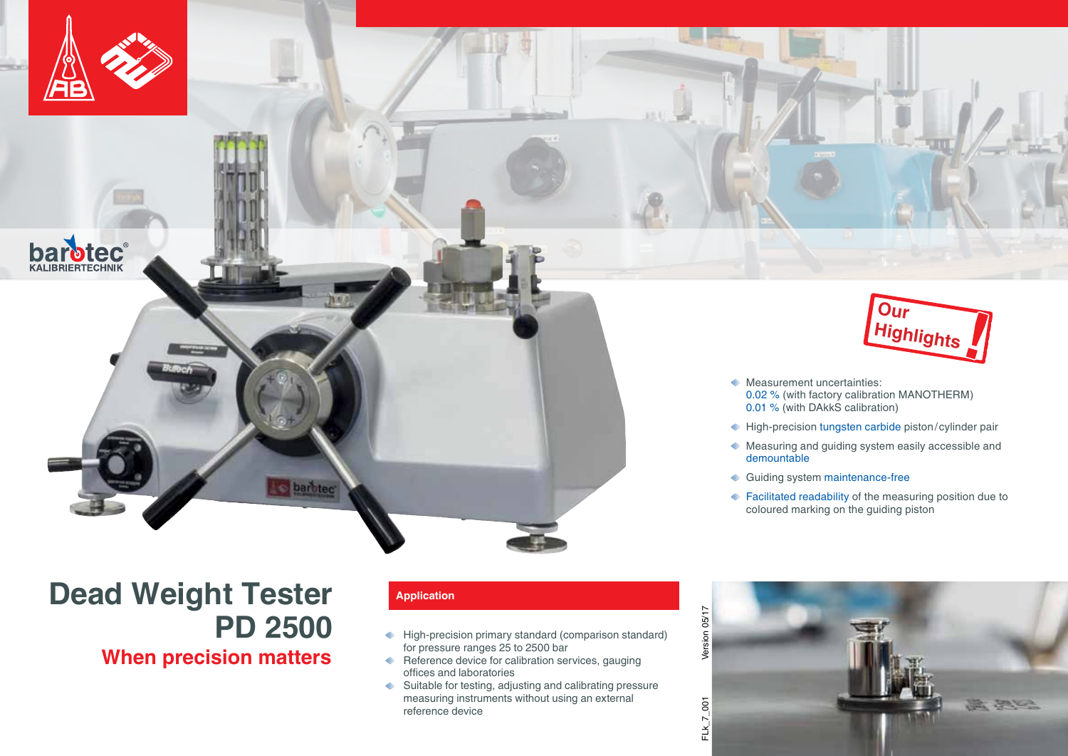

**barotec®** 



## **Application**

barotec

- ← High-precision primary standard (comparison standard) for pressure ranges 25 to 2500 bar
- Reference device for calibration services, gauging offices and laboratories
- Suitable for testing, adjusting and calibrating pressure measuring instruments without using an external reference device



- **Measurement uncertainties:** 0.02 % (with factory calibration MANOTHERM) 0.01 % (with DAkkS calibration)
- ← High-precision tungsten carbide piston/cylinder pair
- Measuring and guiding system easily accessible and demountable
- Guiding system maintenance-free
- ◆ Facilitated readability of the measuring position due to coloured marking on the guiding piston